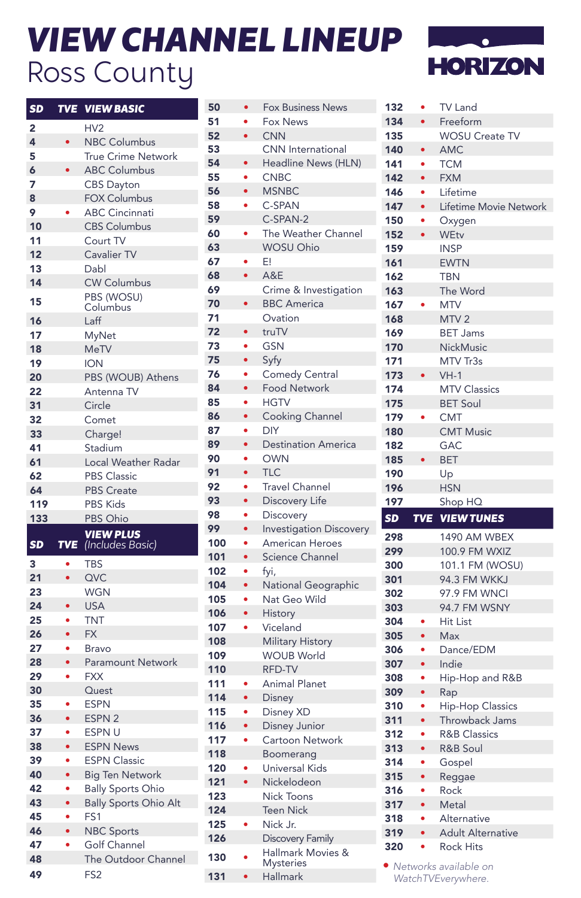## *VIEW CHANNEL LINEUP* Ross County



| <b>SD</b> | <b>TVE</b> | <b>VIEW BASIC</b>                   |
|-----------|------------|-------------------------------------|
| 2         |            | HV <sub>2</sub>                     |
| 4         | ٠          | <b>NBC Columbus</b>                 |
| 5         |            | <b>True Crime Network</b>           |
| 6         |            | <b>ABC Columbus</b>                 |
| 7         |            | <b>CBS Dayton</b>                   |
| 8         |            | <b>FOX Columbus</b>                 |
| 9         |            | <b>ABC Cincinnati</b>               |
| 10        |            | <b>CBS Columbus</b>                 |
| 11        |            | Court TV                            |
| 12        |            | Cavalier TV                         |
| 13        |            | Dabl                                |
| 14        |            | <b>CW Columbus</b>                  |
|           |            | PBS (WOSU)                          |
| 15        |            | Columbus                            |
| 16        |            | Laff                                |
| 17        |            | MyNet                               |
| 18        |            | <b>MeTV</b>                         |
| 19        |            | <b>ION</b>                          |
| 20        |            | PBS (WOUB) Athens                   |
| 22        |            | Antenna TV                          |
| 31        |            | Circle                              |
| 32        |            | Comet                               |
| 33        |            | Charge!                             |
| 41        |            | Stadium                             |
| 61        |            | Local Weather Radar                 |
| 62        |            | <b>PBS Classic</b>                  |
| 64        |            | <b>PBS Create</b>                   |
| 119       |            | <b>PBS Kids</b>                     |
| 133       |            | PBS Ohio                            |
|           |            | <b>VIEW PLUS</b>                    |
| <b>SD</b> | <b>TVE</b> | (Includes Basic)                    |
| 3         | $\bullet$  | <b>TBS</b>                          |
| 21        | $\bullet$  | QVC                                 |
| 23        |            | WGN                                 |
| 24        |            | <b>USA</b>                          |
| 25        |            | TNT                                 |
| 26        | $\bullet$  | FX.                                 |
| 27        | ۰          | Bravo                               |
| 28        | $\bullet$  | <b>Paramount Network</b>            |
| 29        | $\bullet$  | <b>FXX</b>                          |
| 30        |            | Quest                               |
| 35        |            | <b>ESPN</b>                         |
| 36        | $\bullet$  | ESPN <sub>2</sub>                   |
| 37        | $\bullet$  | <b>ESPNU</b>                        |
| 38        | ٠          | <b>ESPN News</b>                    |
| 39        |            | <b>ESPN Classic</b>                 |
| 40        |            | <b>Big Ten Network</b>              |
| 42        |            | <b>Bally Sports Ohio</b>            |
|           |            | <b>Bally Sports Ohio Alt</b>        |
|           |            |                                     |
| 43        | $\bullet$  |                                     |
| 45        |            | FS <sub>1</sub>                     |
| 46        | $\bullet$  | <b>NBC Sports</b>                   |
| 47<br>48  |            | Golf Channel<br>The Outdoor Channel |

FS2

| 50  | $\bullet$ | <b>Fox Business News</b>       |
|-----|-----------|--------------------------------|
| 51  | ۰         | <b>Fox News</b>                |
| 52  | $\bullet$ | <b>CNN</b>                     |
| 53  |           | <b>CNN</b> International       |
| 54  |           | Headline News (HLN)            |
| 55  |           | <b>CNBC</b>                    |
| 56  | $\bullet$ | <b>MSNBC</b>                   |
| 58  | ۰         | C-SPAN                         |
| 59  |           | C-SPAN-2                       |
| 60  | ۰         | The Weather Channel            |
| 63  |           | <b>WOSU Ohio</b>               |
| 67  | $\bullet$ | E!                             |
| 68  | $\bullet$ | A&E                            |
| 69  |           | Crime & Investigation          |
| 70  |           | <b>BBC</b> America             |
| 71  |           | Ovation                        |
| 72  | $\bullet$ | truTV                          |
| 73  | ٠         | <b>GSN</b>                     |
| 75  | $\bullet$ | Syfy                           |
| 76  | ٠         | <b>Comedy Central</b>          |
| 84  | $\bullet$ | <b>Food Network</b>            |
| 85  | $\bullet$ | <b>HGTV</b>                    |
| 86  |           | Cooking Channel                |
| 87  | $\bullet$ | DIY                            |
| 89  | $\bullet$ | <b>Destination America</b>     |
| 90  | ٠         | <b>OWN</b>                     |
| 91  | $\bullet$ | <b>TLC</b>                     |
| 92  | ٠         | <b>Travel Channel</b>          |
| 93  | $\bullet$ | Discovery Life                 |
| 98  | $\bullet$ | Discovery                      |
| 99  | $\bullet$ | <b>Investigation Discovery</b> |
| 100 | $\bullet$ | American Heroes                |
| 101 |           | <b>Science Channel</b>         |
| 102 | ۰         | fyi,                           |
| 104 | $\bullet$ | National Geographic            |
| 105 | ۰         | Nat Geo Wild                   |
| 106 | $\bullet$ | <b>History</b>                 |
| 107 | $\bullet$ | Viceland                       |
| 108 |           | <b>Military History</b>        |
| 109 |           | <b>WOUB World</b>              |
| 110 |           | RFD-TV                         |
| 111 |           | <b>Animal Planet</b>           |
| 114 | $\bullet$ | Disney                         |
| 115 | ۰         | Disney XD                      |
| 116 | $\bullet$ | Disney Junior                  |
| 117 | ò         | Cartoon Network                |
| 118 |           | Boomerang                      |
| 120 |           | Universal Kids                 |
| 121 | $\bullet$ | Nickelodeon                    |
| 123 |           | Nick Toons                     |
| 124 |           | <b>Teen Nick</b>               |
| 125 |           | Nick Jr.                       |
| 126 |           | Discovery Family               |
| 130 |           | Hallmark Movies &              |
|     |           | <b>Mysteries</b>               |
| 131 | $\bullet$ | <b>Hallmark</b>                |

| 132 | $\bullet$  | <b>TV Land</b>                            |
|-----|------------|-------------------------------------------|
| 134 | $\bullet$  | Freeform                                  |
| 135 |            | <b>WOSU Create TV</b>                     |
| 140 |            | <b>AMC</b>                                |
| 141 |            | <b>TCM</b>                                |
| 142 | $\bullet$  | <b>FXM</b>                                |
| 146 |            | Lifetime                                  |
| 147 | $\bullet$  | Lifetime Movie Network                    |
| 150 | ۰          | Oxygen                                    |
| 152 | $\bullet$  | <b>WEtv</b>                               |
| 159 |            | <b>INSP</b>                               |
| 161 |            | <b>EWTN</b>                               |
| 162 |            | <b>TBN</b>                                |
| 163 |            | The Word                                  |
| 167 |            | <b>MTV</b>                                |
| 168 |            | MTV <sub>2</sub>                          |
| 169 |            | <b>BET Jams</b>                           |
| 170 |            | NickMusic                                 |
| 171 |            | MTV Tr3s                                  |
| 173 |            | $VH-1$                                    |
| 174 |            | <b>MTV Classics</b>                       |
| 175 |            | <b>BET Soul</b>                           |
| 179 |            | CMT                                       |
| 180 |            | <b>CMT Music</b>                          |
| 182 |            | GAC                                       |
| 185 | $\bullet$  | <b>BET</b>                                |
| 190 |            | Up                                        |
| 196 |            | <b>HSN</b>                                |
|     |            |                                           |
| 197 |            | Shop HQ                                   |
| SD  | <b>TVE</b> | <b>VIEW TUNES</b>                         |
|     |            |                                           |
| 298 |            | 1490 AM WBEX                              |
| 299 |            | 100.9 FM WXIZ                             |
| 300 |            | 101.1 FM (WOSU)                           |
| 301 |            | 94.3 FM WKKJ                              |
| 302 |            | 97.9 FM WNCI                              |
| 303 |            | 94.7 FM WSNY                              |
| 304 |            | Hit List                                  |
| 305 | $\bullet$  | <b>Max</b>                                |
| 306 |            | Dance/EDM                                 |
| 307 |            | Indie                                     |
| 308 |            | Hip-Hop and R&B                           |
| 309 | $\bullet$  | Rap                                       |
| 310 |            | <b>Hip-Hop Classics</b>                   |
| 311 | $\bullet$  | Throwback Jams                            |
| 312 |            | <b>R&amp;B Classics</b>                   |
| 313 | $\bullet$  | <b>R&amp;B Soul</b>                       |
| 314 | o          | Gospel                                    |
| 315 |            | Reggae                                    |
| 316 |            | Rock                                      |
| 317 |            | Metal                                     |
| 318 |            | <b>Alternative</b>                        |
| 319 |            | <b>Adult Alternative</b>                  |
| 320 |            | <b>Rock Hits</b><br>Networks available on |